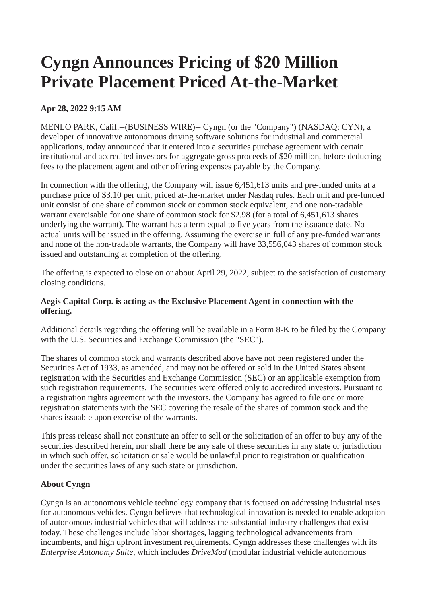# **Cyngn Announces Pricing of \$20 Million Private Placement Priced At-the-Market**

# **Apr 28, 2022 9:15 AM**

MENLO PARK, Calif.--(BUSINESS WIRE)-- Cyngn (or the "Company") (NASDAQ: CYN), a developer of innovative autonomous driving software solutions for industrial and commercial applications, today announced that it entered into a securities purchase agreement with certain institutional and accredited investors for aggregate gross proceeds of \$20 million, before deducting fees to the placement agent and other offering expenses payable by the Company.

In connection with the offering, the Company will issue 6,451,613 units and pre-funded units at a purchase price of \$3.10 per unit, priced at-the-market under Nasdaq rules. Each unit and pre-funded unit consist of one share of common stock or common stock equivalent, and one non-tradable warrant exercisable for one share of common stock for \$2.98 (for a total of 6,451,613 shares underlying the warrant). The warrant has a term equal to five years from the issuance date. No actual units will be issued in the offering. Assuming the exercise in full of any pre-funded warrants and none of the non-tradable warrants, the Company will have 33,556,043 shares of common stock issued and outstanding at completion of the offering.

The offering is expected to close on or about April 29, 2022, subject to the satisfaction of customary closing conditions.

### **Aegis Capital Corp. is acting as the Exclusive Placement Agent in connection with the offering.**

Additional details regarding the offering will be available in a Form 8-K to be filed by the Company with the U.S. Securities and Exchange Commission (the "SEC").

The shares of common stock and warrants described above have not been registered under the Securities Act of 1933, as amended, and may not be offered or sold in the United States absent registration with the Securities and Exchange Commission (SEC) or an applicable exemption from such registration requirements. The securities were offered only to accredited investors. Pursuant to a registration rights agreement with the investors, the Company has agreed to file one or more registration statements with the SEC covering the resale of the shares of common stock and the shares issuable upon exercise of the warrants.

This press release shall not constitute an offer to sell or the solicitation of an offer to buy any of the securities described herein, nor shall there be any sale of these securities in any state or jurisdiction in which such offer, solicitation or sale would be unlawful prior to registration or qualification under the securities laws of any such state or jurisdiction.

### **About Cyngn**

Cyngn is an autonomous vehicle technology company that is focused on addressing industrial uses for autonomous vehicles. Cyngn believes that technological innovation is needed to enable adoption of autonomous industrial vehicles that will address the substantial industry challenges that exist today. These challenges include labor shortages, lagging technological advancements from incumbents, and high upfront investment requirements. Cyngn addresses these challenges with its *Enterprise Autonomy Suite*, which includes *DriveMod* (modular industrial vehicle autonomous